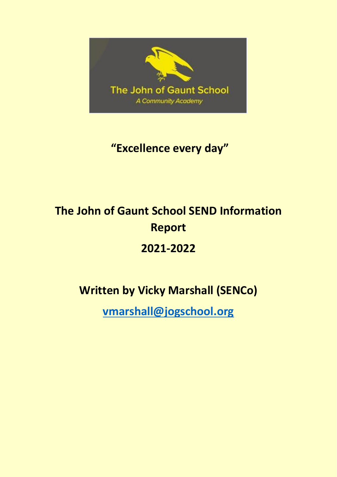

## **"Excellence every day"**

# **The John of Gaunt School SEND Information Report 2021-2022**

## **Written by Vicky Marshall (SENCo)**

**[vmarshall@jogschool.org](mailto:vmarshall@jogschool.org)**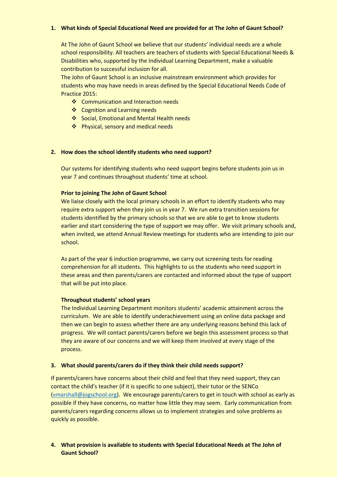#### **1. What kinds of Special Educational Need are provided for at The John of Gaunt School?**

At The John of Gaunt School we believe that our students' individual needs are a whole school responsibility. All teachers are teachers of students with Special Educational Needs & Disabilities who, supported by the Individual Learning Department, make a valuable contribution to successful inclusion for all.

The John of Gaunt School is an inclusive mainstream environment which provides for students who may have needs in areas defined by the Special Educational Needs Code of Practice 2015:

- ❖ Communication and Interaction needs
- ❖ Cognition and Learning needs
- ❖ Social, Emotional and Mental Health needs
- ❖ Physical, sensory and medical needs

#### **2. How does the school identify students who need support?**

Our systems for identifying students who need support begins before students join us in year 7 and continues throughout students' time at school.

#### **Prior to joining The John of Gaunt School**

We liaise closely with the local primary schools in an effort to identify students who may require extra support when they join us in year 7. We run extra transition sessions for students identified by the primary schools so that we are able to get to know students earlier and start considering the type of support we may offer. We visit primary schools and, when invited, we attend Annual Review meetings for students who are intending to join our school.

As part of the year 6 induction programme, we carry out screening tests for reading comprehension for all students. This highlights to us the students who need support in these areas and then parents/carers are contacted and informed about the type of support that will be put into place.

#### **Throughout students' school years**

The Individual Learning Department monitors students' academic attainment across the curriculum. We are able to identify underachievement using an online data package and then we can begin to assess whether there are any underlying reasons behind this lack of progress. We will contact parents/carers before we begin this assessment process so that they are aware of our concerns and we will keep them involved at every stage of the process.

#### **3. What should parents/carers do if they think their child needs support?**

If parents/carers have concerns about their child and feel that they need support, they can contact the child's teacher (if it is specific to one subject), their tutor or the SENCo [\(vmarshall@jogschool.org\)](mailto:vmarshall@jogschool.org). We encourage parents/carers to get in touch with school as early as possible if they have concerns, no matter how little they may seem. Early communication from parents/carers regarding concerns allows us to implement strategies and solve problems as quickly as possible.

#### **4. What provision is available to students with Special Educational Needs at The John of Gaunt School?**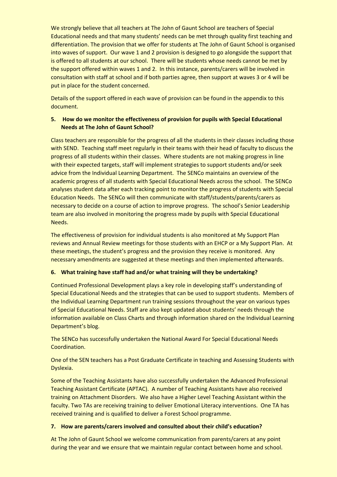We strongly believe that all teachers at The John of Gaunt School are teachers of Special Educational needs and that many students' needs can be met through quality first teaching and differentiation. The provision that we offer for students at The John of Gaunt School is organised into waves of support. Our wave 1 and 2 provision is designed to go alongside the support that is offered to all students at our school. There will be students whose needs cannot be met by the support offered within waves 1 and 2. In this instance, parents/carers will be involved in consultation with staff at school and if both parties agree, then support at waves 3 or 4 will be put in place for the student concerned.

Details of the support offered in each wave of provision can be found in the appendix to this document.

#### **5. How do we monitor the effectiveness of provision for pupils with Special Educational Needs at The John of Gaunt School?**

Class teachers are responsible for the progress of all the students in their classes including those with SEND. Teaching staff meet regularly in their teams with their head of faculty to discuss the progress of all students within their classes. Where students are not making progress in line with their expected targets, staff will implement strategies to support students and/or seek advice from the Individual Learning Department. The SENCo maintains an overview of the academic progress of all students with Special Educational Needs across the school. The SENCo analyses student data after each tracking point to monitor the progress of students with Special Education Needs. The SENCo will then communicate with staff/students/parents/carers as necessary to decide on a course of action to improve progress. The school's Senior Leadership team are also involved in monitoring the progress made by pupils with Special Educational Needs.

The effectiveness of provision for individual students is also monitored at My Support Plan reviews and Annual Review meetings for those students with an EHCP or a My Support Plan. At these meetings, the student's progress and the provision they receive is monitored. Any necessary amendments are suggested at these meetings and then implemented afterwards.

#### **6. What training have staff had and/or what training will they be undertaking?**

Continued Professional Development plays a key role in developing staff's understanding of Special Educational Needs and the strategies that can be used to support students. Members of the Individual Learning Department run training sessions throughout the year on various types of Special Educational Needs. Staff are also kept updated about students' needs through the information available on Class Charts and through information shared on the Individual Learning Department's blog.

The SENCo has successfully undertaken the National Award For Special Educational Needs Coordination.

One of the SEN teachers has a Post Graduate Certificate in teaching and Assessing Students with Dyslexia.

Some of the Teaching Assistants have also successfully undertaken the Advanced Professional Teaching Assistant Certificate (APTAC). A number of Teaching Assistants have also received training on Attachment Disorders. We also have a Higher Level Teaching Assistant within the faculty. Two TAs are receiving training to deliver Emotional Literacy interventions. One TA has received training and is qualified to deliver a Forest School programme.

#### **7. How are parents/carers involved and consulted about their child's education?**

At The John of Gaunt School we welcome communication from parents/carers at any point during the year and we ensure that we maintain regular contact between home and school.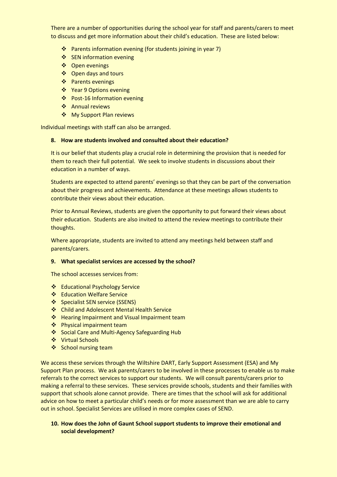There are a number of opportunities during the school year for staff and parents/carers to meet to discuss and get more information about their child's education. These are listed below:

- ❖ Parents information evening (for students joining in year 7)
- ❖ SEN information evening
- ❖ Open evenings
- ❖ Open days and tours
- ❖ Parents evenings
- ❖ Year 9 Options evening
- ❖ Post-16 Information evening
- ❖ Annual reviews
- ❖ My Support Plan reviews

Individual meetings with staff can also be arranged.

#### **8. How are students involved and consulted about their education?**

It is our belief that students play a crucial role in determining the provision that is needed for them to reach their full potential. We seek to involve students in discussions about their education in a number of ways.

Students are expected to attend parents' evenings so that they can be part of the conversation about their progress and achievements. Attendance at these meetings allows students to contribute their views about their education.

Prior to Annual Reviews, students are given the opportunity to put forward their views about their education. Students are also invited to attend the review meetings to contribute their thoughts.

Where appropriate, students are invited to attend any meetings held between staff and parents/carers.

#### **9. What specialist services are accessed by the school?**

The school accesses services from:

- ❖ Educational Psychology Service
- ❖ Education Welfare Service
- ❖ Specialist SEN service (SSENS)
- ❖ Child and Adolescent Mental Health Service
- ❖ Hearing Impairment and Visual Impairment team
- ❖ Physical impairment team
- ❖ Social Care and Multi-Agency Safeguarding Hub
- ❖ Virtual Schools
- ❖ School nursing team

We access these services through the Wiltshire DART, Early Support Assessment (ESA) and My Support Plan process. We ask parents/carers to be involved in these processes to enable us to make referrals to the correct services to support our students. We will consult parents/carers prior to making a referral to these services. These services provide schools, students and their families with support that schools alone cannot provide. There are times that the school will ask for additional advice on how to meet a particular child's needs or for more assessment than we are able to carry out in school. Specialist Services are utilised in more complex cases of SEND.

#### **10. How does the John of Gaunt School support students to improve their emotional and social development?**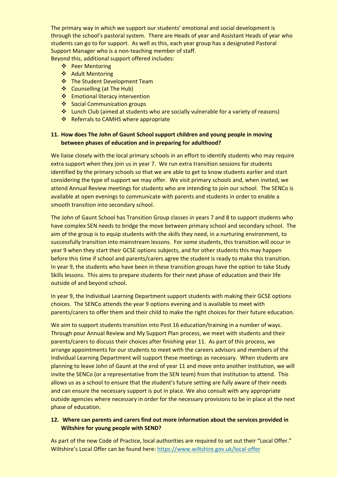The primary way in which we support our students' emotional and social development is through the school's pastoral system. There are Heads of year and Assistant Heads of year who students can go to for support. As well as this, each year group has a designated Pastoral Support Manager who is a non-teaching member of staff.

Beyond this, additional support offered includes:

- ❖ Peer Mentoring
- ❖ Adult Mentoring
- ❖ The Student Development Team
- ❖ Counselling (at The Hub)
- ❖ Emotional literacy intervention
- ❖ Social Communication groups
- ❖ Lunch Club (aimed at students who are socially vulnerable for a variety of reasons)
- ❖ Referrals to CAMHS where appropriate

#### **11. How does The John of Gaunt School support children and young people in moving between phases of education and in preparing for adulthood?**

We liaise closely with the local primary schools in an effort to identify students who may require extra support when they join us in year 7. We run extra transition sessions for students identified by the primary schools so that we are able to get to know students earlier and start considering the type of support we may offer. We visit primary schools and, when invited, we attend Annual Review meetings for students who are intending to join our school. The SENCo is available at open evenings to communicate with parents and students in order to enable a smooth transition into secondary school.

The John of Gaunt School has Transition Group classes in years 7 and 8 to support students who have complex SEN needs to bridge the move between primary school and secondary school. The aim of the group is to equip students with the skills they need, in a nurturing environment, to successfully transition into mainstream lessons. For some students, this transition will occur in year 9 when they start their GCSE options subjects, and for other students this may happen before this time if school and parents/carers agree the student is ready to make this transition. In year 9, the students who have been in these transition groups have the option to take Study Skills lessons. This aims to prepare students for their next phase of education and their life outside of and beyond school.

In year 9, the Individual Learning Department support students with making their GCSE options choices. The SENCo attends the year 9 options evening and is available to meet with parents/carers to offer them and their child to make the right choices for their future education.

We aim to support students transition into Post 16 education/training in a number of ways. Through pour Annual Review and My Support Plan process, we meet with students and their parents/carers to discuss their choices after finishing year 11. As part of this process, we arrange appointments for our students to meet with the careers advisors and members of the Individual Learning Department will support these meetings as necessary. When students are planning to leave John of Gaunt at the end of year 11 and move onto another institution, we will invite the SENCo (or a representative from the SEN team) from that institution to attend. This allows us as a school to ensure that the student's future setting are fully aware of their needs and can ensure the necessary support is put in place. We also consult with any appropriate outside agencies where necessary in order for the necessary provisions to be in place at the next phase of education.

#### **12. Where can parents and carers find out more information about the services provided in Wiltshire for young people with SEND?**

As part of the new Code of Practice, local authorities are required to set out their "Local Offer." Wiltshire's Local Offer can be found here:<https://www.wiltshire.gov.uk/local-offer>